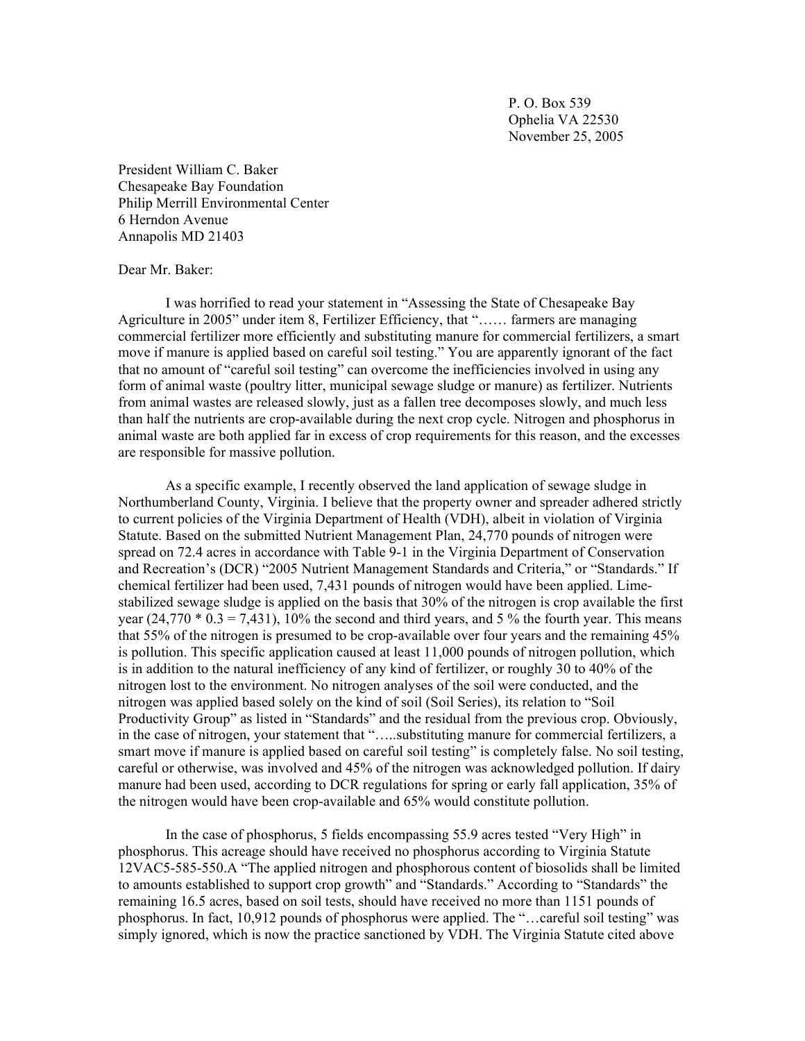P. O. Box 539 Ophelia VA 22530 November 25, 2005

President William C. Baker Chesapeake Bay Foundation Philip Merrill Environmental Center 6 Herndon Avenue Annapolis MD 21403

## Dear Mr. Baker:

I was horrified to read your statement in "Assessing the State of Chesapeake Bay Agriculture in 2005" under item 8, Fertilizer Efficiency, that "…… farmers are managing commercial fertilizer more efficiently and substituting manure for commercial fertilizers, a smart move if manure is applied based on careful soil testing." You are apparently ignorant of the fact that no amount of "careful soil testing" can overcome the inefficiencies involved in using any form of animal waste (poultry litter, municipal sewage sludge or manure) as fertilizer. Nutrients from animal wastes are released slowly, just as a fallen tree decomposes slowly, and much less than half the nutrients are crop-available during the next crop cycle. Nitrogen and phosphorus in animal waste are both applied far in excess of crop requirements for this reason, and the excesses are responsible for massive pollution.

As a specific example, I recently observed the land application of sewage sludge in Northumberland County, Virginia. I believe that the property owner and spreader adhered strictly to current policies of the Virginia Department of Health (VDH), albeit in violation of Virginia Statute. Based on the submitted Nutrient Management Plan, 24,770 pounds of nitrogen were spread on 72.4 acres in accordance with Table 9-1 in the Virginia Department of Conservation and Recreation's (DCR) "2005 Nutrient Management Standards and Criteria," or "Standards." If chemical fertilizer had been used, 7,431 pounds of nitrogen would have been applied. Limestabilized sewage sludge is applied on the basis that 30% of the nitrogen is crop available the first year  $(24,770 * 0.3 = 7,431)$ , 10% the second and third years, and 5% the fourth year. This means that 55% of the nitrogen is presumed to be crop-available over four years and the remaining 45% is pollution. This specific application caused at least 11,000 pounds of nitrogen pollution, which is in addition to the natural inefficiency of any kind of fertilizer, or roughly 30 to 40% of the nitrogen lost to the environment. No nitrogen analyses of the soil were conducted, and the nitrogen was applied based solely on the kind of soil (Soil Series), its relation to "Soil Productivity Group" as listed in "Standards" and the residual from the previous crop. Obviously, in the case of nitrogen, your statement that "…..substituting manure for commercial fertilizers, a smart move if manure is applied based on careful soil testing" is completely false. No soil testing, careful or otherwise, was involved and 45% of the nitrogen was acknowledged pollution. If dairy manure had been used, according to DCR regulations for spring or early fall application, 35% of the nitrogen would have been crop-available and 65% would constitute pollution.

In the case of phosphorus, 5 fields encompassing 55.9 acres tested "Very High" in phosphorus. This acreage should have received no phosphorus according to Virginia Statute 12VAC5-585-550.A "The applied nitrogen and phosphorous content of biosolids shall be limited to amounts established to support crop growth" and "Standards." According to "Standards" the remaining 16.5 acres, based on soil tests, should have received no more than 1151 pounds of phosphorus. In fact, 10,912 pounds of phosphorus were applied. The "…careful soil testing" was simply ignored, which is now the practice sanctioned by VDH. The Virginia Statute cited above